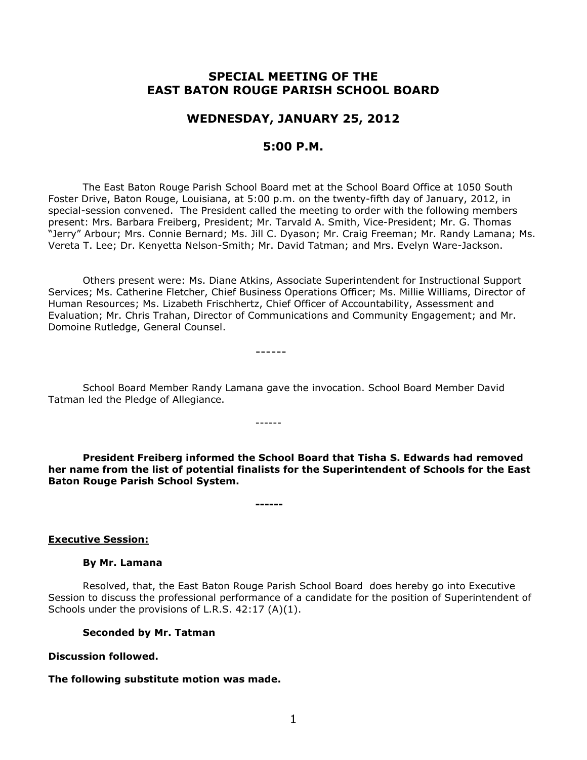# **SPECIAL MEETING OF THE EAST BATON ROUGE PARISH SCHOOL BOARD**

# **WEDNESDAY, JANUARY 25, 2012**

# **5:00 P.M.**

The East Baton Rouge Parish School Board met at the School Board Office at 1050 South Foster Drive, Baton Rouge, Louisiana, at 5:00 p.m. on the twenty-fifth day of January, 2012, in special-session convened. The President called the meeting to order with the following members present: Mrs. Barbara Freiberg, President; Mr. Tarvald A. Smith, Vice-President; Mr. G. Thomas "Jerry" Arbour; Mrs. Connie Bernard; Ms. Jill C. Dyason; Mr. Craig Freeman; Mr. Randy Lamana; Ms. Vereta T. Lee; Dr. Kenyetta Nelson-Smith; Mr. David Tatman; and Mrs. Evelyn Ware-Jackson.

Others present were: Ms. Diane Atkins, Associate Superintendent for Instructional Support Services; Ms. Catherine Fletcher, Chief Business Operations Officer; Ms. Millie Williams, Director of Human Resources; Ms. Lizabeth Frischhertz, Chief Officer of Accountability, Assessment and Evaluation; Mr. Chris Trahan, Director of Communications and Community Engagement; and Mr. Domoine Rutledge, General Counsel.

------

School Board Member Randy Lamana gave the invocation. School Board Member David Tatman led the Pledge of Allegiance.

------

**President Freiberg informed the School Board that Tisha S. Edwards had removed her name from the list of potential finalists for the Superintendent of Schools for the East Baton Rouge Parish School System.**

**------**

# **Executive Session:**

#### **By Mr. Lamana**

Resolved, that, the East Baton Rouge Parish School Board does hereby go into Executive Session to discuss the professional performance of a candidate for the position of Superintendent of Schools under the provisions of L.R.S. 42:17 (A)(1).

# **Seconded by Mr. Tatman**

# **Discussion followed.**

# **The following substitute motion was made.**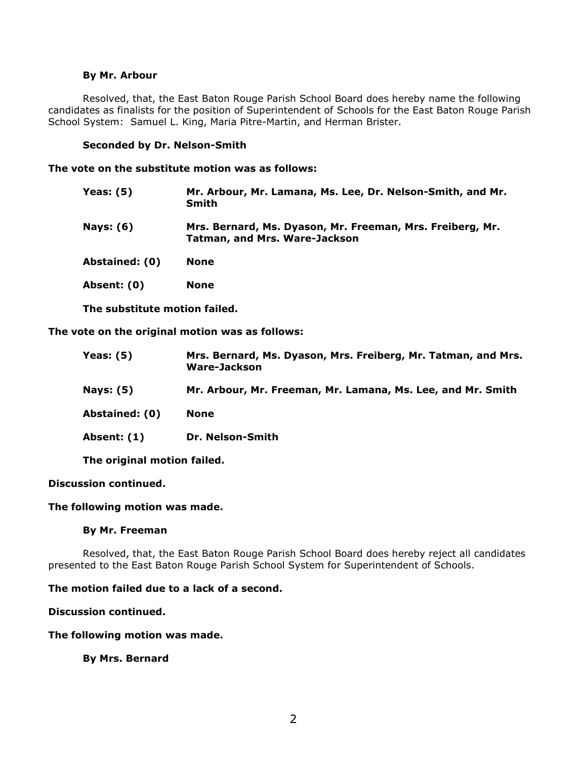## **By Mr. Arbour**

Resolved, that, the East Baton Rouge Parish School Board does hereby name the following candidates as finalists for the position of Superintendent of Schools for the East Baton Rouge Parish School System: Samuel L. King, Maria Pitre-Martin, and Herman Brister.

## **Seconded by Dr. Nelson-Smith**

#### **The vote on the substitute motion was as follows:**

| Mr. Arbour, Mr. Lamana, Ms. Lee, Dr. Nelson-Smith, and Mr.<br><b>Smith</b>                        |
|---------------------------------------------------------------------------------------------------|
| Mrs. Bernard, Ms. Dyason, Mr. Freeman, Mrs. Freiberg, Mr.<br><b>Tatman, and Mrs. Ware-Jackson</b> |
| <b>None</b>                                                                                       |
| <b>None</b>                                                                                       |
|                                                                                                   |

**The substitute motion failed.**

**The vote on the original motion was as follows:**

| Yeas: $(5)$      | Mrs. Bernard, Ms. Dyason, Mrs. Freiberg, Mr. Tatman, and Mrs.<br>Ware-Jackson |
|------------------|-------------------------------------------------------------------------------|
| <b>Nays: (5)</b> | Mr. Arbour, Mr. Freeman, Mr. Lamana, Ms. Lee, and Mr. Smith                   |
| Abstained: (0)   | <b>None</b>                                                                   |
| Absent: (1)      | Dr. Nelson-Smith                                                              |

**The original motion failed.**

#### **Discussion continued.**

## **The following motion was made.**

#### **By Mr. Freeman**

Resolved, that, the East Baton Rouge Parish School Board does hereby reject all candidates presented to the East Baton Rouge Parish School System for Superintendent of Schools.

# **The motion failed due to a lack of a second.**

## **Discussion continued.**

#### **The following motion was made.**

# **By Mrs. Bernard**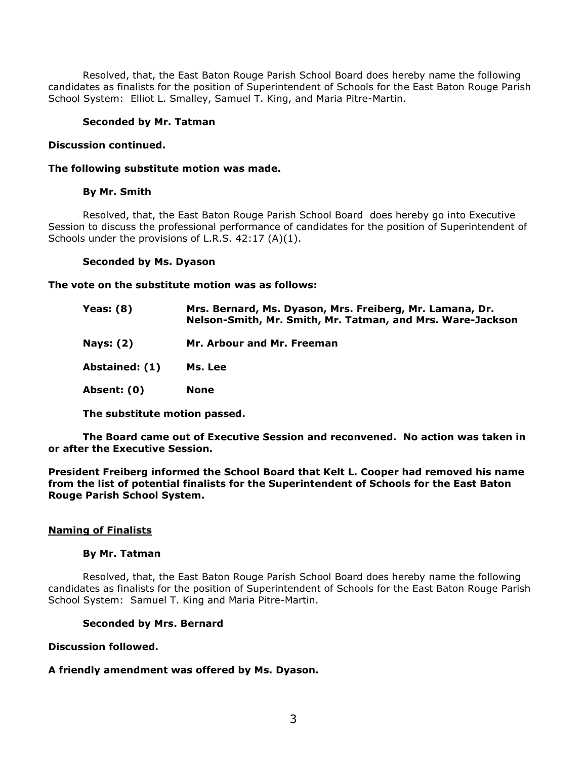Resolved, that, the East Baton Rouge Parish School Board does hereby name the following candidates as finalists for the position of Superintendent of Schools for the East Baton Rouge Parish School System: Elliot L. Smalley, Samuel T. King, and Maria Pitre-Martin.

## **Seconded by Mr. Tatman**

## **Discussion continued.**

#### **The following substitute motion was made.**

## **By Mr. Smith**

Resolved, that, the East Baton Rouge Parish School Board does hereby go into Executive Session to discuss the professional performance of candidates for the position of Superintendent of Schools under the provisions of L.R.S. 42:17 (A)(1).

## **Seconded by Ms. Dyason**

**The vote on the substitute motion was as follows:**

| <b>Yeas: (8)</b> | Mrs. Bernard, Ms. Dyason, Mrs. Freiberg, Mr. Lamana, Dr.<br>Nelson-Smith, Mr. Smith, Mr. Tatman, and Mrs. Ware-Jackson |
|------------------|------------------------------------------------------------------------------------------------------------------------|
| <b>Nays: (2)</b> | Mr. Arbour and Mr. Freeman                                                                                             |
| Abstained: (1)   | Ms. Lee                                                                                                                |
| Absent: (0)      | <b>None</b>                                                                                                            |

**The substitute motion passed.**

**The Board came out of Executive Session and reconvened. No action was taken in or after the Executive Session.**

**President Freiberg informed the School Board that Kelt L. Cooper had removed his name from the list of potential finalists for the Superintendent of Schools for the East Baton Rouge Parish School System.**

# **Naming of Finalists**

#### **By Mr. Tatman**

Resolved, that, the East Baton Rouge Parish School Board does hereby name the following candidates as finalists for the position of Superintendent of Schools for the East Baton Rouge Parish School System: Samuel T. King and Maria Pitre-Martin.

#### **Seconded by Mrs. Bernard**

# **Discussion followed.**

# **A friendly amendment was offered by Ms. Dyason.**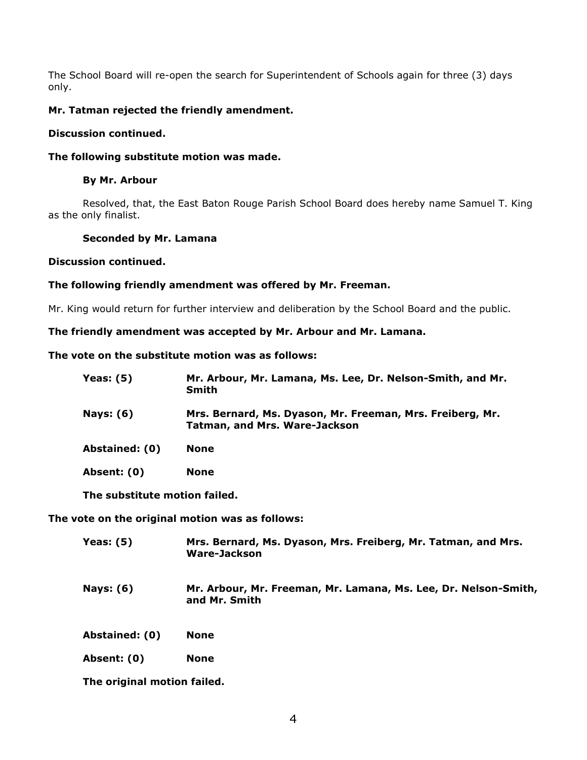The School Board will re-open the search for Superintendent of Schools again for three (3) days only.

# **Mr. Tatman rejected the friendly amendment.**

# **Discussion continued.**

## **The following substitute motion was made.**

## **By Mr. Arbour**

Resolved, that, the East Baton Rouge Parish School Board does hereby name Samuel T. King as the only finalist.

## **Seconded by Mr. Lamana**

## **Discussion continued.**

# **The following friendly amendment was offered by Mr. Freeman.**

Mr. King would return for further interview and deliberation by the School Board and the public.

# **The friendly amendment was accepted by Mr. Arbour and Mr. Lamana.**

# **The vote on the substitute motion was as follows:**

| Yeas: $(5)$                   | Mr. Arbour, Mr. Lamana, Ms. Lee, Dr. Nelson-Smith, and Mr.<br><b>Smith</b>                        |  |
|-------------------------------|---------------------------------------------------------------------------------------------------|--|
| <b>Nays: (6)</b>              | Mrs. Bernard, Ms. Dyason, Mr. Freeman, Mrs. Freiberg, Mr.<br><b>Tatman, and Mrs. Ware-Jackson</b> |  |
| Abstained: (0)                | <b>None</b>                                                                                       |  |
| Absent: (0)                   | <b>None</b>                                                                                       |  |
| The substitute motion failed. |                                                                                                   |  |

**The vote on the original motion was as follows:**

| Yeas: $(5)$      | Mrs. Bernard, Ms. Dyason, Mrs. Freiberg, Mr. Tatman, and Mrs.<br>Ware-Jackson    |
|------------------|----------------------------------------------------------------------------------|
| <b>Nays: (6)</b> | Mr. Arbour, Mr. Freeman, Mr. Lamana, Ms. Lee, Dr. Nelson-Smith,<br>and Mr. Smith |
| Abstained: (0)   | <b>None</b>                                                                      |
| Absent: (0)      | <b>None</b>                                                                      |

**The original motion failed.**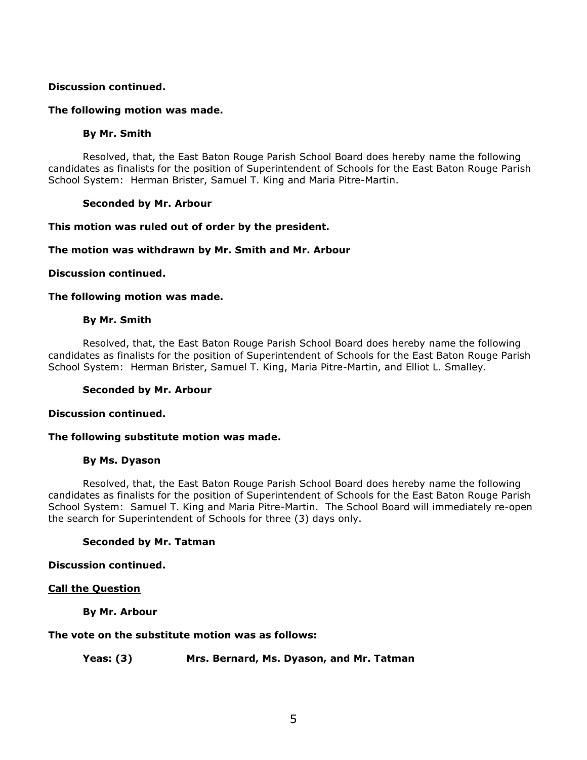## **Discussion continued.**

## **The following motion was made.**

#### **By Mr. Smith**

Resolved, that, the East Baton Rouge Parish School Board does hereby name the following candidates as finalists for the position of Superintendent of Schools for the East Baton Rouge Parish School System: Herman Brister, Samuel T. King and Maria Pitre-Martin.

## **Seconded by Mr. Arbour**

## **This motion was ruled out of order by the president.**

# **The motion was withdrawn by Mr. Smith and Mr. Arbour**

## **Discussion continued.**

## **The following motion was made.**

## **By Mr. Smith**

Resolved, that, the East Baton Rouge Parish School Board does hereby name the following candidates as finalists for the position of Superintendent of Schools for the East Baton Rouge Parish School System: Herman Brister, Samuel T. King, Maria Pitre-Martin, and Elliot L. Smalley.

#### **Seconded by Mr. Arbour**

#### **Discussion continued.**

#### **The following substitute motion was made.**

#### **By Ms. Dyason**

Resolved, that, the East Baton Rouge Parish School Board does hereby name the following candidates as finalists for the position of Superintendent of Schools for the East Baton Rouge Parish School System: Samuel T. King and Maria Pitre-Martin. The School Board will immediately re-open the search for Superintendent of Schools for three (3) days only.

#### **Seconded by Mr. Tatman**

#### **Discussion continued.**

# **Call the Question**

**By Mr. Arbour**

#### **The vote on the substitute motion was as follows:**

**Yeas: (3) Mrs. Bernard, Ms. Dyason, and Mr. Tatman**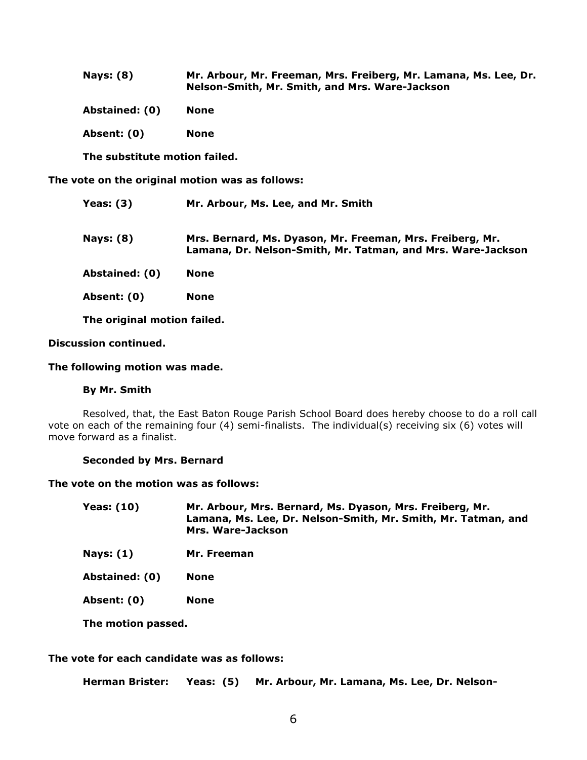| <b>Nays: (8)</b> | Mr. Arbour, Mr. Freeman, Mrs. Freiberg, Mr. Lamana, Ms. Lee, Dr. |
|------------------|------------------------------------------------------------------|
|                  | Nelson-Smith, Mr. Smith, and Mrs. Ware-Jackson                   |

| Abstained: (0) |  | None |
|----------------|--|------|
|----------------|--|------|

**Absent: (0) None**

**The substitute motion failed.**

**The vote on the original motion was as follows:**

| Yeas: $(3)$      | Mr. Arbour, Ms. Lee, and Mr. Smith                                                                                       |
|------------------|--------------------------------------------------------------------------------------------------------------------------|
| <b>Nays: (8)</b> | Mrs. Bernard, Ms. Dyason, Mr. Freeman, Mrs. Freiberg, Mr.<br>Lamana, Dr. Nelson-Smith, Mr. Tatman, and Mrs. Ware-Jackson |
| Abstained: (0)   | <b>None</b>                                                                                                              |
| Absent: (0)      | <b>None</b>                                                                                                              |

**The original motion failed.**

# **Discussion continued.**

## **The following motion was made.**

#### **By Mr. Smith**

Resolved, that, the East Baton Rouge Parish School Board does hereby choose to do a roll call vote on each of the remaining four (4) semi-finalists. The individual(s) receiving six (6) votes will move forward as a finalist.

#### **Seconded by Mrs. Bernard**

#### **The vote on the motion was as follows:**

| <b>Yeas: (10)</b> | Mr. Arbour, Mrs. Bernard, Ms. Dyason, Mrs. Freiberg, Mr.      |
|-------------------|---------------------------------------------------------------|
|                   | Lamana, Ms. Lee, Dr. Nelson-Smith, Mr. Smith, Mr. Tatman, and |
|                   | Mrs. Ware-Jackson                                             |

**Nays: (1) Mr. Freeman**

**Abstained: (0) None**

**Absent: (0) None**

**The motion passed.**

## **The vote for each candidate was as follows:**

**Herman Brister: Yeas: (5) Mr. Arbour, Mr. Lamana, Ms. Lee, Dr. Nelson-**